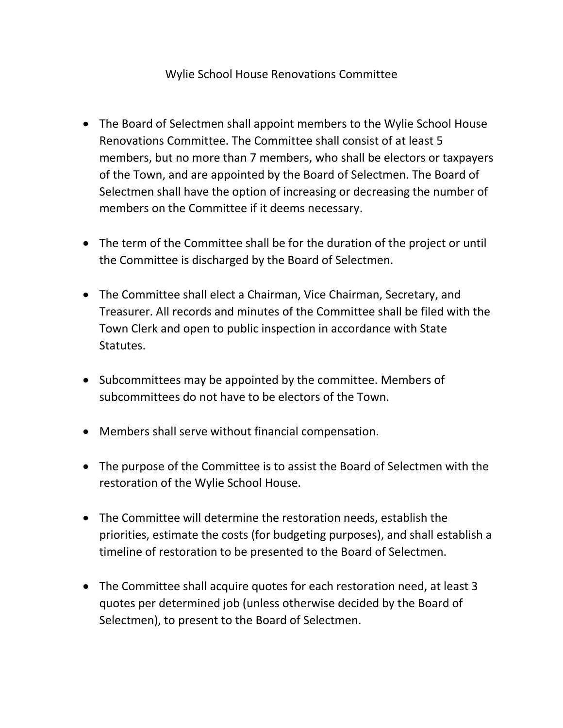## Wylie School House Renovations Committee

- The Board of Selectmen shall appoint members to the Wylie School House Renovations Committee. The Committee shall consist of at least 5 members, but no more than 7 members, who shall be electors or taxpayers of the Town, and are appointed by the Board of Selectmen. The Board of Selectmen shall have the option of increasing or decreasing the number of members on the Committee if it deems necessary.
- The term of the Committee shall be for the duration of the project or until the Committee is discharged by the Board of Selectmen.
- The Committee shall elect a Chairman, Vice Chairman, Secretary, and Treasurer. All records and minutes of the Committee shall be filed with the Town Clerk and open to public inspection in accordance with State Statutes.
- Subcommittees may be appointed by the committee. Members of subcommittees do not have to be electors of the Town.
- Members shall serve without financial compensation.
- The purpose of the Committee is to assist the Board of Selectmen with the restoration of the Wylie School House.
- The Committee will determine the restoration needs, establish the priorities, estimate the costs (for budgeting purposes), and shall establish a timeline of restoration to be presented to the Board of Selectmen.
- The Committee shall acquire quotes for each restoration need, at least 3 quotes per determined job (unless otherwise decided by the Board of Selectmen), to present to the Board of Selectmen.